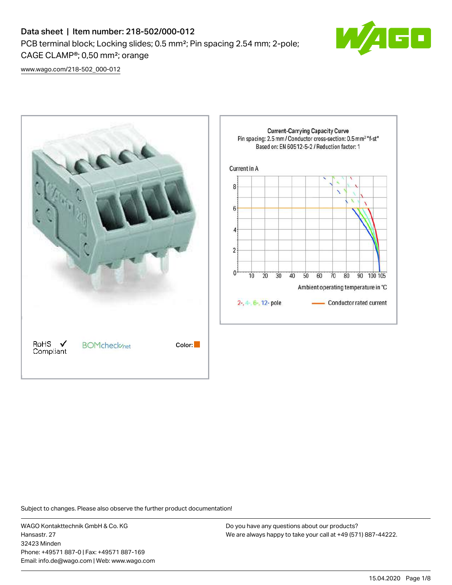# Data sheet | Item number: 218-502/000-012 PCB terminal block; Locking slides; 0.5 mm²; Pin spacing 2.54 mm; 2-pole; CAGE CLAMP®; 0,50 mm²; orange



[www.wago.com/218-502\\_000-012](http://www.wago.com/218-502_000-012)



Subject to changes. Please also observe the further product documentation!

WAGO Kontakttechnik GmbH & Co. KG Hansastr. 27 32423 Minden Phone: +49571 887-0 | Fax: +49571 887-169 Email: info.de@wago.com | Web: www.wago.com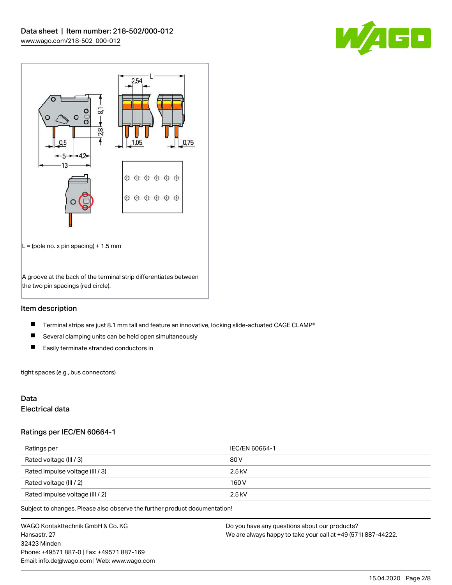



# Item description

- $\blacksquare$ Terminal strips are just 8.1 mm tall and feature an innovative, locking slide-actuated CAGE CLAMP®
- $\blacksquare$ Several clamping units can be held open simultaneously
- $\blacksquare$ Easily terminate stranded conductors in

tight spaces (e.g., bus connectors)

# Data

# Electrical data

#### Ratings per IEC/EN 60664-1

| Ratings per                     | IEC/EN 60664-1 |
|---------------------------------|----------------|
| Rated voltage (III / 3)         | 80 V           |
| Rated impulse voltage (III / 3) | $2.5$ kV       |
| Rated voltage (III / 2)         | 160 V          |
| Rated impulse voltage (III / 2) | $2.5$ kV       |

Subject to changes. Please also observe the further product documentation!

WAGO Kontakttechnik GmbH & Co. KG Hansastr. 27 32423 Minden Phone: +49571 887-0 | Fax: +49571 887-169 Email: info.de@wago.com | Web: www.wago.com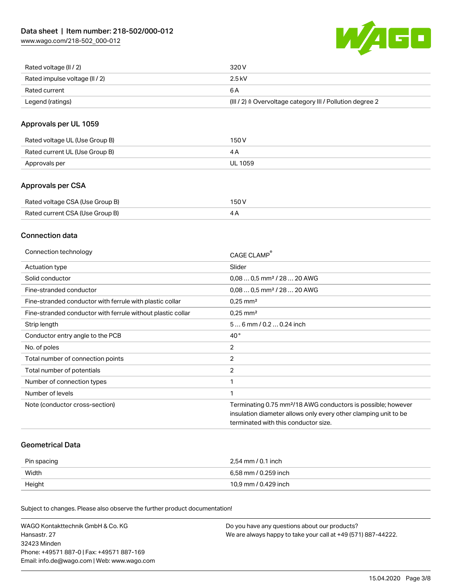[www.wago.com/218-502\\_000-012](http://www.wago.com/218-502_000-012)



| Rated voltage (II / 2)         | 320 V                                                                 |
|--------------------------------|-----------------------------------------------------------------------|
| Rated impulse voltage (II / 2) | 2.5 kV                                                                |
| Rated current                  | 6 A                                                                   |
| Legend (ratings)               | $(III / 2)$ $\triangle$ Overvoltage category III / Pollution degree 2 |

# Approvals per UL 1059

| Rated voltage UL (Use Group B) | 150 V   |
|--------------------------------|---------|
| Rated current UL (Use Group B) |         |
| Approvals per                  | UL 1059 |

# Approvals per CSA

| Rated voltage CSA (Use Group B) | 150 V |
|---------------------------------|-------|
| Rated current CSA (Use Group B) |       |

# Connection data

| Connection technology                                       | CAGE CLAMP                                                               |
|-------------------------------------------------------------|--------------------------------------------------------------------------|
| Actuation type                                              | Slider                                                                   |
| Solid conductor                                             | $0.080.5$ mm <sup>2</sup> / 28  20 AWG                                   |
| Fine-stranded conductor                                     | $0.080.5$ mm <sup>2</sup> / 28  20 AWG                                   |
| Fine-stranded conductor with ferrule with plastic collar    | $0.25$ mm <sup>2</sup>                                                   |
| Fine-stranded conductor with ferrule without plastic collar | $0.25$ mm <sup>2</sup>                                                   |
| Strip length                                                | 56 mm / 0.2 0.24 inch                                                    |
| Conductor entry angle to the PCB                            | $40^{\circ}$                                                             |
| No. of poles                                                | 2                                                                        |
| Total number of connection points                           | $\overline{2}$                                                           |
| Total number of potentials                                  | $\overline{2}$                                                           |
| Number of connection types                                  |                                                                          |
| Number of levels                                            |                                                                          |
| Note (conductor cross-section)                              | Terminating 0.75 mm <sup>2</sup> /18 AWG conductors is possible; however |
|                                                             | insulation diameter allows only every other clamping unit to be          |
|                                                             | terminated with this conductor size.                                     |

## Geometrical Data

| Pin spacing | 2,54 mm / 0.1 inch   |
|-------------|----------------------|
| Width       | 6,58 mm / 0.259 inch |
| Height      | 10,9 mm / 0.429 inch |

Subject to changes. Please also observe the further product documentation!

| WAGO Kontakttechnik GmbH & Co. KG           | Do you have any questions about our products?                 |
|---------------------------------------------|---------------------------------------------------------------|
| Hansastr. 27                                | We are always happy to take your call at +49 (571) 887-44222. |
| 32423 Minden                                |                                                               |
| Phone: +49571 887-01 Fax: +49571 887-169    |                                                               |
| Email: info.de@wago.com   Web: www.wago.com |                                                               |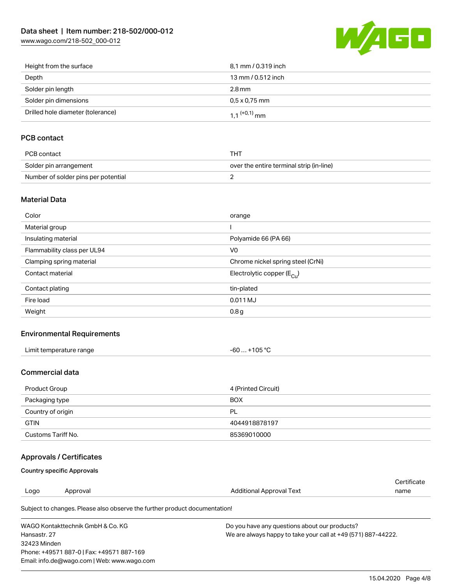[www.wago.com/218-502\\_000-012](http://www.wago.com/218-502_000-012)



| Height from the surface           | 8.1 mm / 0.319 inch        |
|-----------------------------------|----------------------------|
| Depth                             | 13 mm / 0.512 inch         |
| Solder pin length                 | 2.8 mm                     |
| Solder pin dimensions             | $0.5 \times 0.75$ mm       |
| Drilled hole diameter (tolerance) | $1.1$ <sup>(+0,1)</sup> mm |

# PCB contact

| PCB contact                         | тнт                                      |
|-------------------------------------|------------------------------------------|
| Solder pin arrangement              | over the entire terminal strip (in-line) |
| Number of solder pins per potential |                                          |

## Material Data

| Color                       | orange                                |
|-----------------------------|---------------------------------------|
| Material group              |                                       |
| Insulating material         | Polyamide 66 (PA 66)                  |
| Flammability class per UL94 | V <sub>0</sub>                        |
| Clamping spring material    | Chrome nickel spring steel (CrNi)     |
| Contact material            | Electrolytic copper $(E_{\text{Cl}})$ |
| Contact plating             | tin-plated                            |
| Fire load                   | 0.011 MJ                              |
| Weight                      | 0.8 <sub>g</sub>                      |

# Environmental Requirements

| Limit temperature range | 105 °C |
|-------------------------|--------|
|                         | -60    |
| $\blacksquare$          |        |

## Commercial data

| Product Group      | 4 (Printed Circuit) |
|--------------------|---------------------|
| Packaging type     | <b>BOX</b>          |
| Country of origin  | PL                  |
| <b>GTIN</b>        | 4044918878197       |
| Customs Tariff No. | 85369010000         |

# Approvals / Certificates

## Country specific Approvals

Email: info.de@wago.com | Web: www.wago.com

|                                          |                                                                            |                                                               | Certificate |
|------------------------------------------|----------------------------------------------------------------------------|---------------------------------------------------------------|-------------|
| Logo                                     | Approval                                                                   | Additional Approval Text                                      | name        |
|                                          | Subject to changes. Please also observe the further product documentation! |                                                               |             |
| WAGO Kontakttechnik GmbH & Co. KG        |                                                                            | Do you have any questions about our products?                 |             |
| Hansastr, 27                             |                                                                            | We are always happy to take your call at +49 (571) 887-44222. |             |
| 32423 Minden                             |                                                                            |                                                               |             |
| Phone: +49571 887-01 Fax: +49571 887-169 |                                                                            |                                                               |             |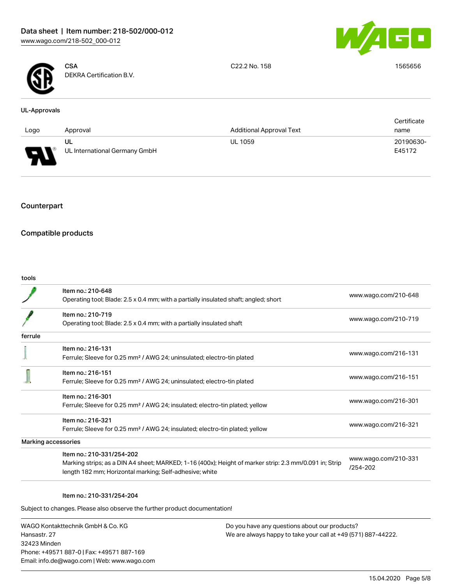



**CSA** DEKRA Certification B.V. C22.2 No. 158 1565656

#### UL-Approvals

|      |                               |                                 | Certificate |
|------|-------------------------------|---------------------------------|-------------|
| Logo | Approval                      | <b>Additional Approval Text</b> | name        |
|      | UL                            | <b>UL 1059</b>                  | 20190630-   |
| L    | UL International Germany GmbH |                                 | E45172      |

# Counterpart

# Compatible products

tools

|         | Item no.: 210-648<br>Operating tool; Blade: 2.5 x 0.4 mm; with a partially insulated shaft; angled; short                                                                                      | www.wago.com/210-648             |
|---------|------------------------------------------------------------------------------------------------------------------------------------------------------------------------------------------------|----------------------------------|
|         | Item no.: 210-719<br>Operating tool; Blade: 2.5 x 0.4 mm; with a partially insulated shaft                                                                                                     | www.wago.com/210-719             |
| ferrule |                                                                                                                                                                                                |                                  |
|         | Item no.: 216-131<br>Ferrule; Sleeve for 0.25 mm <sup>2</sup> / AWG 24; uninsulated; electro-tin plated                                                                                        | www.wago.com/216-131             |
|         | Item no.: 216-151<br>Ferrule; Sleeve for 0.25 mm <sup>2</sup> / AWG 24; uninsulated; electro-tin plated                                                                                        | www.wago.com/216-151             |
|         | Item no.: 216-301<br>Ferrule; Sleeve for 0.25 mm <sup>2</sup> / AWG 24; insulated; electro-tin plated; yellow                                                                                  | www.wago.com/216-301             |
|         | Item no.: 216-321<br>Ferrule; Sleeve for 0.25 mm <sup>2</sup> / AWG 24; insulated; electro-tin plated; yellow                                                                                  | www.wago.com/216-321             |
|         | Marking accessories                                                                                                                                                                            |                                  |
|         | Item no.: 210-331/254-202<br>Marking strips; as a DIN A4 sheet; MARKED; 1-16 (400x); Height of marker strip: 2.3 mm/0.091 in; Strip<br>length 182 mm; Horizontal marking; Self-adhesive; white | www.wago.com/210-331<br>/254-202 |
|         |                                                                                                                                                                                                |                                  |

## Item no.: 210-331/254-204

Subject to changes. Please also observe the further product documentation!

WAGO Kontakttechnik GmbH & Co. KG Hansastr. 27 32423 Minden Phone: +49571 887-0 | Fax: +49571 887-169 Email: info.de@wago.com | Web: www.wago.com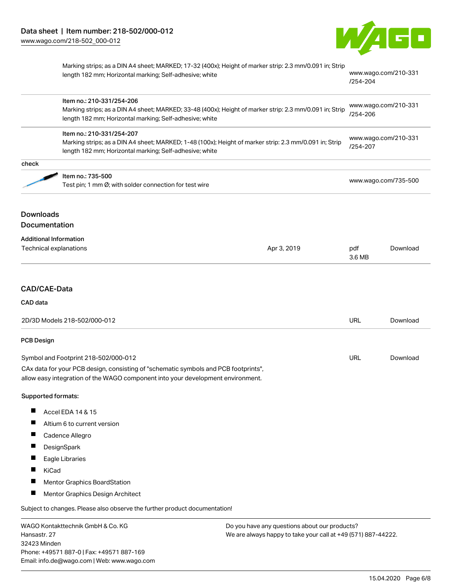

|                                      | Marking strips; as a DIN A4 sheet; MARKED; 17-32 (400x); Height of marker strip: 2.3 mm/0.091 in; Strip<br>length 182 mm; Horizontal marking; Self-adhesive; white<br>Item no.: 210-331/254-206<br>Marking strips; as a DIN A4 sheet; MARKED; 33-48 (400x); Height of marker strip: 2.3 mm/0.091 in; Strip<br>length 182 mm; Horizontal marking; Self-adhesive; white<br>Item no.: 210-331/254-207<br>Marking strips; as a DIN A4 sheet; MARKED; 1-48 (100x); Height of marker strip: 2.3 mm/0.091 in; Strip<br>length 182 mm; Horizontal marking; Self-adhesive; white |             | www.wago.com/210-331<br>/254-204<br>www.wago.com/210-331<br>/254-206<br>www.wago.com/210-331<br>/254-207 |          |
|--------------------------------------|-------------------------------------------------------------------------------------------------------------------------------------------------------------------------------------------------------------------------------------------------------------------------------------------------------------------------------------------------------------------------------------------------------------------------------------------------------------------------------------------------------------------------------------------------------------------------|-------------|----------------------------------------------------------------------------------------------------------|----------|
|                                      |                                                                                                                                                                                                                                                                                                                                                                                                                                                                                                                                                                         |             |                                                                                                          |          |
|                                      |                                                                                                                                                                                                                                                                                                                                                                                                                                                                                                                                                                         |             |                                                                                                          |          |
| check                                |                                                                                                                                                                                                                                                                                                                                                                                                                                                                                                                                                                         |             |                                                                                                          |          |
|                                      | Item no.: 735-500<br>Test pin; 1 mm Ø; with solder connection for test wire                                                                                                                                                                                                                                                                                                                                                                                                                                                                                             |             | www.wago.com/735-500                                                                                     |          |
| <b>Downloads</b>                     |                                                                                                                                                                                                                                                                                                                                                                                                                                                                                                                                                                         |             |                                                                                                          |          |
| <b>Documentation</b>                 |                                                                                                                                                                                                                                                                                                                                                                                                                                                                                                                                                                         |             |                                                                                                          |          |
|                                      | <b>Additional Information</b><br>Technical explanations                                                                                                                                                                                                                                                                                                                                                                                                                                                                                                                 | Apr 3, 2019 | pdf<br>3.6 MB                                                                                            | Download |
| CAD/CAE-Data                         |                                                                                                                                                                                                                                                                                                                                                                                                                                                                                                                                                                         |             |                                                                                                          |          |
| CAD data                             |                                                                                                                                                                                                                                                                                                                                                                                                                                                                                                                                                                         |             |                                                                                                          |          |
| 2D/3D Models 218-502/000-012         |                                                                                                                                                                                                                                                                                                                                                                                                                                                                                                                                                                         |             | URL                                                                                                      | Download |
| <b>PCB Design</b>                    |                                                                                                                                                                                                                                                                                                                                                                                                                                                                                                                                                                         |             |                                                                                                          |          |
| Symbol and Footprint 218-502/000-012 |                                                                                                                                                                                                                                                                                                                                                                                                                                                                                                                                                                         |             | URL                                                                                                      | Download |
|                                      | CAx data for your PCB design, consisting of "schematic symbols and PCB footprints",<br>allow easy integration of the WAGO component into your development environment.                                                                                                                                                                                                                                                                                                                                                                                                  |             |                                                                                                          |          |
| Supported formats:                   |                                                                                                                                                                                                                                                                                                                                                                                                                                                                                                                                                                         |             |                                                                                                          |          |
|                                      | Accel EDA 14 & 15                                                                                                                                                                                                                                                                                                                                                                                                                                                                                                                                                       |             |                                                                                                          |          |
| ш                                    | Altium 6 to current version                                                                                                                                                                                                                                                                                                                                                                                                                                                                                                                                             |             |                                                                                                          |          |
|                                      | Cadence Allegro                                                                                                                                                                                                                                                                                                                                                                                                                                                                                                                                                         |             |                                                                                                          |          |
|                                      | DesignSpark                                                                                                                                                                                                                                                                                                                                                                                                                                                                                                                                                             |             |                                                                                                          |          |
|                                      | Eagle Libraries                                                                                                                                                                                                                                                                                                                                                                                                                                                                                                                                                         |             |                                                                                                          |          |
|                                      | KiCad                                                                                                                                                                                                                                                                                                                                                                                                                                                                                                                                                                   |             |                                                                                                          |          |
|                                      | Mentor Graphics BoardStation                                                                                                                                                                                                                                                                                                                                                                                                                                                                                                                                            |             |                                                                                                          |          |
| п                                    | Mentor Graphics Design Architect                                                                                                                                                                                                                                                                                                                                                                                                                                                                                                                                        |             |                                                                                                          |          |
|                                      | Subject to changes. Please also observe the further product documentation!                                                                                                                                                                                                                                                                                                                                                                                                                                                                                              |             |                                                                                                          |          |
|                                      | WAGO Kontakttechnik GmbH & Co. KG<br>Do you have any questions about our products?                                                                                                                                                                                                                                                                                                                                                                                                                                                                                      |             |                                                                                                          |          |

Hansastr. 27 32423 Minden Phone: +49571 887-0 | Fax: +49571 887-169 Email: info.de@wago.com | Web: www.wago.com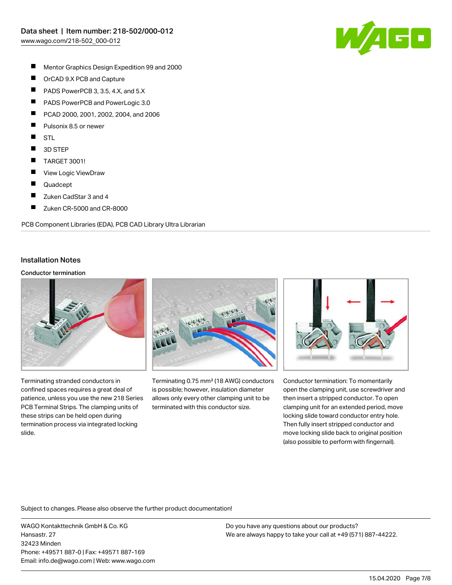

- $\blacksquare$ Mentor Graphics Design Expedition 99 and 2000
- $\blacksquare$ OrCAD 9.X PCB and Capture
- $\blacksquare$ PADS PowerPCB 3, 3.5, 4.X, and 5.X
- $\blacksquare$ PADS PowerPCB and PowerLogic 3.0
- $\blacksquare$ PCAD 2000, 2001, 2002, 2004, and 2006
- $\blacksquare$ Pulsonix 8.5 or newer
- $\blacksquare$ **STL**
- $\blacksquare$ 3D STEP
- $\blacksquare$ TARGET 3001!
- П View Logic ViewDraw
- Г Quadcept
- $\blacksquare$ Zuken CadStar 3 and 4
- $\blacksquare$ Zuken CR-5000 and CR-8000

PCB Component Libraries (EDA), PCB CAD Library Ultra Librarian

#### Installation Notes

#### Conductor termination



Terminating stranded conductors in confined spaces requires a great deal of patience, unless you use the new 218 Series PCB Terminal Strips. The clamping units of these strips can be held open during termination process via integrated locking slide.



Terminating 0.75 mm² (18 AWG) conductors is possible; however, insulation diameter allows only every other clamping unit to be terminated with this conductor size.



Conductor termination: To momentarily open the clamping unit, use screwdriver and then insert a stripped conductor. To open clamping unit for an extended period, move locking slide toward conductor entry hole. Then fully insert stripped conductor and move locking slide back to original position (also possible to perform with fingernail).

Subject to changes. Please also observe the further product documentation!

WAGO Kontakttechnik GmbH & Co. KG Hansastr. 27 32423 Minden Phone: +49571 887-0 | Fax: +49571 887-169 Email: info.de@wago.com | Web: www.wago.com